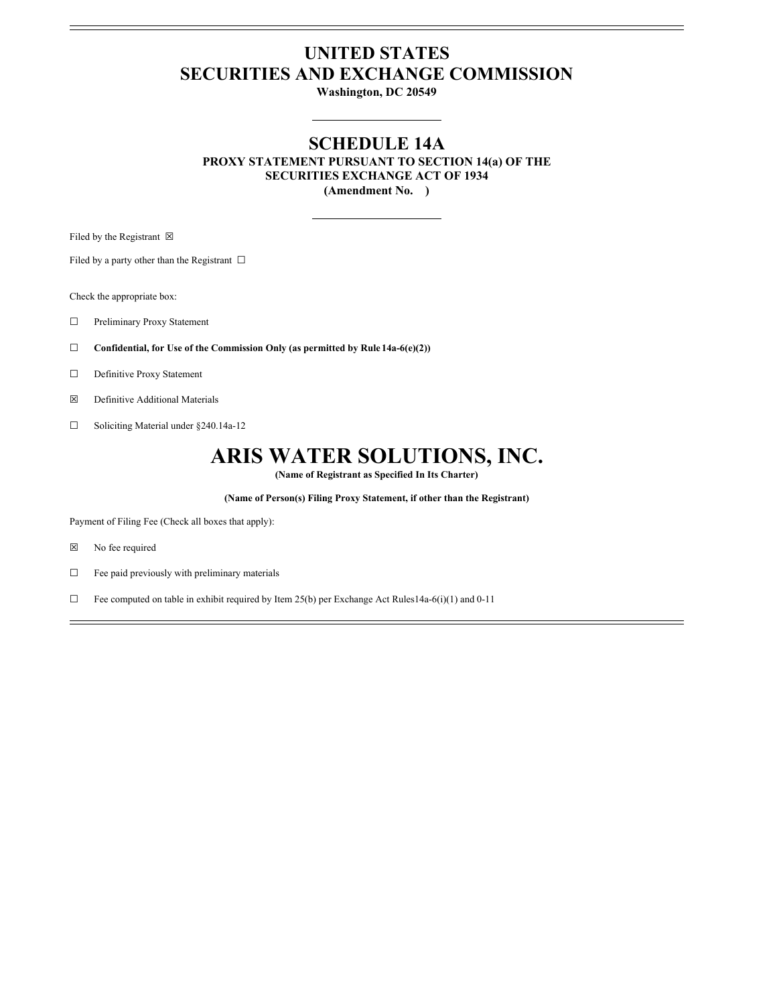## **UNITED STATES SECURITIES AND EXCHANGE COMMISSION**

**Washington, DC 20549**

### **SCHEDULE 14A**

**PROXY STATEMENT PURSUANT TO SECTION 14(a) OF THE SECURITIES EXCHANGE ACT OF 1934 (Amendment No. )**

Filed by the Registrant  $\boxtimes$ 

Filed by a party other than the Registrant  $\Box$ 

Check the appropriate box:

☐ Preliminary Proxy Statement

☐ **Confidential, for Use of the Commission Only (as permitted by Rule 14a-6(e)(2))**

☐ Definitive Proxy Statement

☒ Definitive Additional Materials

☐ Soliciting Material under §240.14a-12

## **ARIS WATER SOLUTIONS, INC.**

**(Name of Registrant as Specified In Its Charter)**

**(Name of Person(s) Filing Proxy Statement, if other than the Registrant)**

Payment of Filing Fee (Check all boxes that apply):

☒ No fee required

☐ Fee paid previously with preliminary materials

 $\Box$  Fee computed on table in exhibit required by Item 25(b) per Exchange Act Rules14a-6(i)(1) and 0-11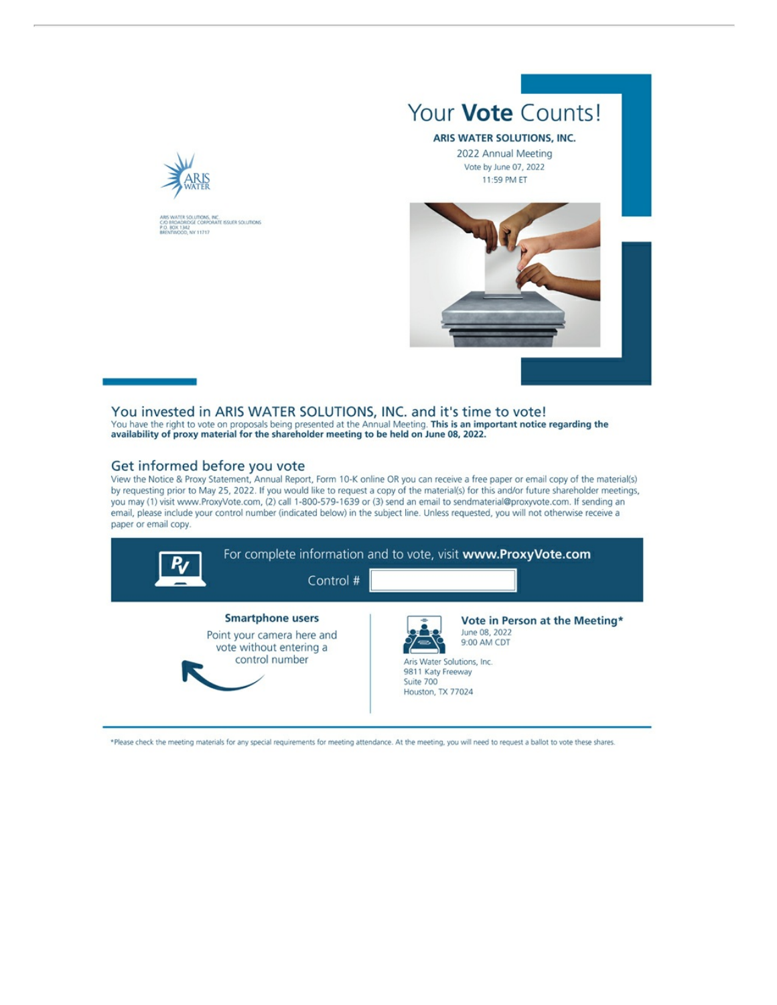

INC.<br>IRATE ISSUER SOLUTIONS xutions<br>Ge coep 1342<br>1342<br>100, NY 11717

# Your Vote Counts!

#### ARIS WATER SOLUTIONS, INC.

2022 Annual Meeting Vote by June 07, 2022 11:59 PM ET



You invested in ARIS WATER SOLUTIONS, INC. and it's time to vote! You have the right to vote on proposals being presented at the Annual Meeting. This is an important notice regarding the availability of proxy material for the shareholder meeting to be held on June 08, 2022.

### Get informed before you vote

View the Notice & Proxy Statement, Annual Report, Form 10-K online OR you can receive a free paper or email copy of the material(s) by requesting prior to May 25, 2022. If you would like to request a copy of the material(s) for this and/or future shareholder meetings, you may (1) visit www.ProxyVote.com, (2) call 1-800-579-1639 or (3) send an email to sendmaterial@proxyvote.com. If sending an email, please include your control number (indicated below) in the subject line. Unless requested, you will not otherwise receive a paper or email copy.



\*Please check the meeting materials for any special requirements for meeting attendance. At the meeting, you will need to request a ballot to vote these shares.